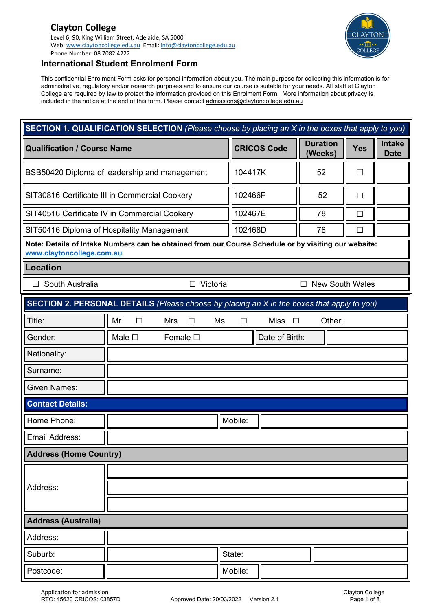## **Clayton College**

Level 6, 90. King William Street, Adelaide, SA 5000 Web[: www.claytoncollege.edu.au](http://www.claytoncollege.edu.au/) Email: [info@claytoncollege.edu.au](mailto:info@claytoncollege.edu.au)  Phone Number: 08 7082 4222



#### **International Student Enrolment Form**

This confidential Enrolment Form asks for personal information about you. The main purpose for collecting this information is for administrative, regulatory and/or research purposes and to ensure our course is suitable for your needs. All staff at Clayton College are required by law to protect the information provided on this Enrolment Form. More information about privacy is included in the notice at the end of this form. Please contact [admissions@claytoncollege.edu.au](mailto:admissions@claytoncollege.edu.au)

| SECTION 1. QUALIFICATION SELECTION (Please choose by placing an X in the boxes that apply to you)                                 |                            |                  |              |                    |                            |            |                              |
|-----------------------------------------------------------------------------------------------------------------------------------|----------------------------|------------------|--------------|--------------------|----------------------------|------------|------------------------------|
| <b>Qualification / Course Name</b>                                                                                                |                            |                  |              | <b>CRICOS Code</b> | <b>Duration</b><br>(Weeks) | <b>Yes</b> | <b>Intake</b><br><b>Date</b> |
| BSB50420 Diploma of leadership and management                                                                                     |                            |                  | 104417K      |                    | 52                         | ⊔          |                              |
| SIT30816 Certificate III in Commercial Cookery                                                                                    |                            |                  | 102466F      |                    | 52                         | $\Box$     |                              |
| SIT40516 Certificate IV in Commercial Cookery                                                                                     |                            |                  | 102467E      |                    | 78                         | П          |                              |
| SIT50416 Diploma of Hospitality Management                                                                                        |                            |                  | 102468D      |                    | 78                         | $\Box$     |                              |
| Note: Details of Intake Numbers can be obtained from our Course Schedule or by visiting our website:<br>www.claytoncollege.com.au |                            |                  |              |                    |                            |            |                              |
| <b>Location</b>                                                                                                                   |                            |                  |              |                    |                            |            |                              |
| South Australia                                                                                                                   |                            | $\Box$ Victoria  |              |                    | □ New South Wales          |            |                              |
| SECTION 2. PERSONAL DETAILS (Please choose by placing an X in the boxes that apply to you)                                        |                            |                  |              |                    |                            |            |                              |
| Title:                                                                                                                            | Mr<br><b>Mrs</b><br>$\Box$ | $\Box$           | Ms<br>$\Box$ | Miss $\square$     | Other:                     |            |                              |
| Gender:                                                                                                                           | Male $\square$             | Female $\square$ |              | Date of Birth:     |                            |            |                              |
| Nationality:                                                                                                                      |                            |                  |              |                    |                            |            |                              |
| Surname:                                                                                                                          |                            |                  |              |                    |                            |            |                              |
| <b>Given Names:</b>                                                                                                               |                            |                  |              |                    |                            |            |                              |
| <b>Contact Details:</b>                                                                                                           |                            |                  |              |                    |                            |            |                              |
| Home Phone:                                                                                                                       | Mobile:                    |                  |              |                    |                            |            |                              |
| Email Address:                                                                                                                    |                            |                  |              |                    |                            |            |                              |
| <b>Address (Home Country)</b>                                                                                                     |                            |                  |              |                    |                            |            |                              |
|                                                                                                                                   |                            |                  |              |                    |                            |            |                              |
| Address:                                                                                                                          |                            |                  |              |                    |                            |            |                              |
|                                                                                                                                   |                            |                  |              |                    |                            |            |                              |
| <b>Address (Australia)</b>                                                                                                        |                            |                  |              |                    |                            |            |                              |
| Address:                                                                                                                          |                            |                  |              |                    |                            |            |                              |
| Suburb:                                                                                                                           | State:                     |                  |              |                    |                            |            |                              |
| Postcode:                                                                                                                         |                            |                  | Mobile:      |                    |                            |            |                              |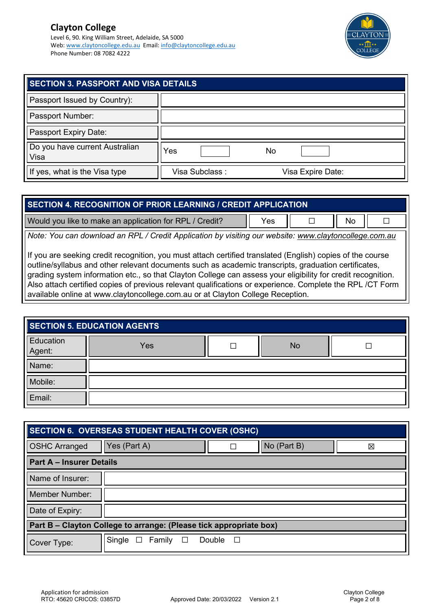#### **Clayton College** Level 6, 90. King William Street, Adelaide, SA 5000 Web[: www.claytoncollege.edu.au](http://www.claytoncollege.edu.au/) Email: [info@claytoncollege.edu.au](mailto:info@claytoncollege.edu.au)  Phone Number: 08 7082 4222



| <b>SECTION 3. PASSPORT AND VISA DETAILS</b> |                                     |  |
|---------------------------------------------|-------------------------------------|--|
| Passport Issued by Country):                |                                     |  |
| Passport Number:                            |                                     |  |
| Passport Expiry Date:                       |                                     |  |
| Do you have current Australian<br>Visa      | Yes<br>No                           |  |
| If yes, what is the Visa type               | Visa Subclass:<br>Visa Expire Date: |  |

| <b>SECTION 4. RECOGNITION OF PRIOR LEARNING / CREDIT APPLICATION</b>                                                                                                                                                                                                                                                                                                                                                                                                                                                              |  |  |
|-----------------------------------------------------------------------------------------------------------------------------------------------------------------------------------------------------------------------------------------------------------------------------------------------------------------------------------------------------------------------------------------------------------------------------------------------------------------------------------------------------------------------------------|--|--|
| Would you like to make an application for RPL / Credit?<br>Yes<br>No.                                                                                                                                                                                                                                                                                                                                                                                                                                                             |  |  |
| Note: You can download an RPL / Credit Application by visiting our website: www.claytoncollege.com.au                                                                                                                                                                                                                                                                                                                                                                                                                             |  |  |
| If you are seeking credit recognition, you must attach certified translated (English) copies of the course<br>outline/syllabus and other relevant documents such as academic transcripts, graduation certificates,<br>grading system information etc., so that Clayton College can assess your eligibility for credit recognition.<br>Also attach certified copies of previous relevant qualifications or experience. Complete the RPL /CT Form<br>available online at www.claytoncollege.com.au or at Clayton College Reception. |  |  |

| <b>SECTION 5. EDUCATION AGENTS</b> |     |  |    |  |
|------------------------------------|-----|--|----|--|
| Education<br>Agent:                | Yes |  | No |  |
| Name:                              |     |  |    |  |
| Mobile:                            |     |  |    |  |
| Email:                             |     |  |    |  |

| SECTION 6. OVERSEAS STUDENT HEALTH COVER (OSHC)                    |                                   |                  |             |   |
|--------------------------------------------------------------------|-----------------------------------|------------------|-------------|---|
| <b>OSHC Arranged</b>                                               | Yes (Part A)                      |                  | No (Part B) | 区 |
|                                                                    | <b>Part A - Insurer Details</b>   |                  |             |   |
| Name of Insurer:                                                   |                                   |                  |             |   |
| <b>Member Number:</b>                                              |                                   |                  |             |   |
| Date of Expiry:                                                    |                                   |                  |             |   |
| Part B - Clayton College to arrange: (Please tick appropriate box) |                                   |                  |             |   |
| Cover Type:                                                        | Single $\square$ Family $\square$ | Double $\square$ |             |   |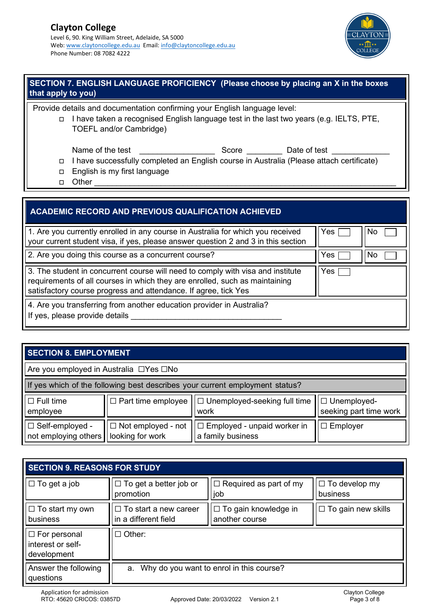

### **SECTION 7. ENGLISH LANGUAGE PROFICIENCY (Please choose by placing an X in the boxes that apply to you)**

Provide details and documentation confirming your English language level:

□ I have taken a recognised English language test in the last two years (e.g. IELTS, PTE, TOEFL and/or Cambridge)

Name of the test  $\begin{array}{ccc} \textbf{Name} & \textbf{Name} \\ \textbf{Name} & \textbf{Name} \end{array}$ 

I have successfully completed an English course in Australia (Please attach certificate)

- □ English is my first language
- Other \_\_\_\_\_\_\_\_\_\_\_\_\_\_\_\_\_\_\_\_\_\_\_\_\_\_\_\_\_\_\_\_\_\_\_\_\_\_\_\_\_\_\_\_\_\_\_\_\_\_\_\_\_\_\_\_\_\_\_\_\_\_\_\_\_\_\_\_

| <b>ACADEMIC RECORD AND PREVIOUS QUALIFICATION ACHIEVED</b>                                                                                                                                                                        |     |    |
|-----------------------------------------------------------------------------------------------------------------------------------------------------------------------------------------------------------------------------------|-----|----|
| 1. Are you currently enrolled in any course in Australia for which you received<br>your current student visa, if yes, please answer question 2 and 3 in this section                                                              | Yes |    |
| 2. Are you doing this course as a concurrent course?                                                                                                                                                                              | Yes | No |
| 3. The student in concurrent course will need to comply with visa and institute<br>requirements of all courses in which they are enrolled, such as maintaining<br>satisfactory course progress and attendance. If agree, tick Yes | Yes |    |
| 4. Are you transferring from another education provider in Australia?<br>If yes, please provide details                                                                                                                           |     |    |

### **SECTION 8. EMPLOYMENT**

Are you employed in Australia ☐Yes ☐No

| If yes which of the following best describes your current employment status?                                                                       |  |                                                                                                                     |  |
|----------------------------------------------------------------------------------------------------------------------------------------------------|--|---------------------------------------------------------------------------------------------------------------------|--|
| $\Box$ Part time employee $\Box$ Unemployed-seeking full time $\Box$ Unemployed-<br>$\Box$ Full time<br>seeking part time work<br>employee<br>work |  |                                                                                                                     |  |
| not employing others   looking for work                                                                                                            |  | □ Self-employed - $\ $ □ Not employed - not $\ $ □ Employed - unpaid worker in $\ $ □ Employer<br>a family business |  |

| <b>SECTION 9. REASONS FOR STUDY</b>                     |                                                      |                                               |                                  |  |
|---------------------------------------------------------|------------------------------------------------------|-----------------------------------------------|----------------------------------|--|
| $\Box$ To get a job                                     | $\Box$ To get a better job or<br>promotion           | $\Box$ Required as part of my<br>job          | $\Box$ To develop my<br>business |  |
| $\Box$ To start my own<br>business                      | $\Box$ To start a new career<br>in a different field | $\Box$ To gain knowledge in<br>another course | $\Box$ To gain new skills        |  |
| $\Box$ For personal<br>interest or self-<br>development | $\Box$ Other:                                        |                                               |                                  |  |
| Answer the following<br>questions                       | a. Why do you want to enrol in this course?          |                                               |                                  |  |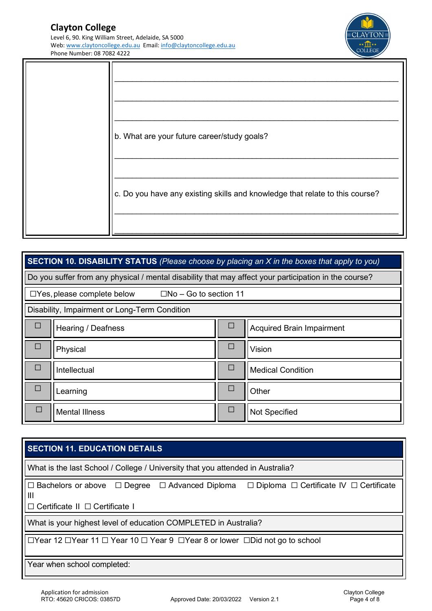

| b. What are your future career/study goals?                                  |
|------------------------------------------------------------------------------|
| c. Do you have any existing skills and knowledge that relate to this course? |

|                   | <b>SECTION 10. DISABILITY STATUS</b> (Please choose by placing an X in the boxes that apply to you)   |        |                                  |  |
|-------------------|-------------------------------------------------------------------------------------------------------|--------|----------------------------------|--|
|                   | Do you suffer from any physical / mental disability that may affect your participation in the course? |        |                                  |  |
|                   | $\square$ No – Go to section 11<br>$\Box$ Yes, please complete below                                  |        |                                  |  |
|                   | Disability, Impairment or Long-Term Condition                                                         |        |                                  |  |
| □                 | Hearing / Deafness                                                                                    |        | <b>Acquired Brain Impairment</b> |  |
| П                 | Physical                                                                                              |        | Vision                           |  |
| □<br>Intellectual |                                                                                                       | $\Box$ | <b>Medical Condition</b>         |  |
| П<br>Learning     |                                                                                                       | $\Box$ | Other                            |  |
|                   | <b>Mental Illness</b>                                                                                 | ப      | <b>Not Specified</b>             |  |

## **SECTION 11. EDUCATION DETAILS**

What is the last School / College / University that you attended in Australia?

| $\mathbf{III}$                                    |                                                                               | $ \Box$ Bachelors or above $\Box$ Degree $\Box$ Advanced Diploma $\Box$ Diploma $\Box$ Certificate IV $\Box$ Certificate |
|---------------------------------------------------|-------------------------------------------------------------------------------|--------------------------------------------------------------------------------------------------------------------------|
| $ \square$ Certificate II $\square$ Certificate I |                                                                               |                                                                                                                          |
|                                                   | What is your highest level of education COMPLETED in Australia?               |                                                                                                                          |
|                                                   | ⊟Year 12 ⊟Year 11 ⊟ Year 10 ⊟ Year 9  ⊟Year 8 or lower  ⊟Did not go to school |                                                                                                                          |
| Year when school completed:                       |                                                                               |                                                                                                                          |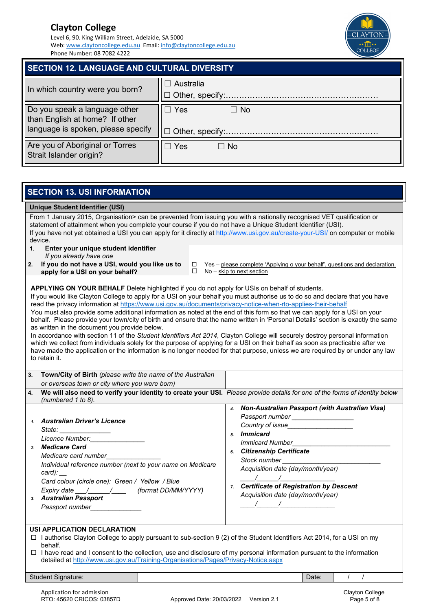## **Clayton College**

Level 6, 90. King William Street, Adelaide, SA 5000 Web[: www.claytoncollege.edu.au](http://www.claytoncollege.edu.au/) Email: [info@claytoncollege.edu.au](mailto:info@claytoncollege.edu.au)  Phone Number: 08 7082 4222



### **SECTION 12. LANGUAGE AND CULTURAL DIVERSITY**

| In which country were you born?    | $\Box$ Australia |
|------------------------------------|------------------|
| Do you speak a language other      | $\Box$ Yes       |
| than English at home? If other     | $\Box$ No        |
| language is spoken, please specify |                  |
| Are you of Aboriginal or Torres    | $\Box$ Yes       |
| Strait Islander origin?            | $\Box$ No        |

# **SECTION 13. USI INFORMATION**

to retain it.

| Unique Student Identifier (USI)                                                                                                   |                                                                                                                                  |  |  |
|-----------------------------------------------------------------------------------------------------------------------------------|----------------------------------------------------------------------------------------------------------------------------------|--|--|
| From 1 January 2015, Organisation> can be prevented from issuing you with a nationally recognised VET qualification or            |                                                                                                                                  |  |  |
| statement of attainment when you complete your course if you do not have a Unique Student Identifier (USI).                       |                                                                                                                                  |  |  |
|                                                                                                                                   | If you have not yet obtained a USI you can apply for it directly at http://www.usi.gov.au/create-your-USI/ on computer or mobile |  |  |
| device.                                                                                                                           |                                                                                                                                  |  |  |
| Enter your unique student identifier<br>1.                                                                                        |                                                                                                                                  |  |  |
| If you already have one                                                                                                           |                                                                                                                                  |  |  |
| If you do not have a USI, would you like us to<br>2.                                                                              | Yes – please complete 'Applying o your behalf', questions and declaration.<br>П                                                  |  |  |
| apply for a USI on your behalf?                                                                                                   | No - skip to next section<br>□                                                                                                   |  |  |
|                                                                                                                                   |                                                                                                                                  |  |  |
|                                                                                                                                   |                                                                                                                                  |  |  |
| <b>APPLYING ON YOUR BEHALF</b> Delete highlighted if you do not apply for USIs on behalf of students.                             |                                                                                                                                  |  |  |
| If you would like Clayton College to apply for a USI on your behalf you must authorise us to do so and declare that you have      |                                                                                                                                  |  |  |
| read the privacy information at https://www.usi.gov.au/documents/privacy-notice-when-rto-applies-their-behalf                     |                                                                                                                                  |  |  |
| You must also provide some additional information as noted at the end of this form so that we can apply for a USI on your         |                                                                                                                                  |  |  |
| behalf. Please provide your town/city of birth and ensure that the name written in 'Personal Details' section is exactly the same |                                                                                                                                  |  |  |
| as written in the document you provide below.                                                                                     |                                                                                                                                  |  |  |
| In accordance with section 11 of the Student Identifiers Act 2014, Clayton College will securely destroy personal information     |                                                                                                                                  |  |  |
| which we collect from individuals solely for the purpose of applying for a USI on their behalf as soon as practicable after we    |                                                                                                                                  |  |  |
| have made the application or the information is no longer needed for that purpose, unless we are required by or under any law     |                                                                                                                                  |  |  |

| 3.                                                                                                                                                                                                                                                                                                                                                                                          | Town/City of Birth (please write the name of the Australian                                                                                                                                                                                                                                                                                                   |  |          |                                                                                                                                                                                                                                                                                                                                                                                                                                                                                                                                                                                                                                                                                                                                                                                                                                                                                                                                                                                                                                          |       |  |
|---------------------------------------------------------------------------------------------------------------------------------------------------------------------------------------------------------------------------------------------------------------------------------------------------------------------------------------------------------------------------------------------|---------------------------------------------------------------------------------------------------------------------------------------------------------------------------------------------------------------------------------------------------------------------------------------------------------------------------------------------------------------|--|----------|------------------------------------------------------------------------------------------------------------------------------------------------------------------------------------------------------------------------------------------------------------------------------------------------------------------------------------------------------------------------------------------------------------------------------------------------------------------------------------------------------------------------------------------------------------------------------------------------------------------------------------------------------------------------------------------------------------------------------------------------------------------------------------------------------------------------------------------------------------------------------------------------------------------------------------------------------------------------------------------------------------------------------------------|-------|--|
|                                                                                                                                                                                                                                                                                                                                                                                             | or overseas town or city where you were born)                                                                                                                                                                                                                                                                                                                 |  |          |                                                                                                                                                                                                                                                                                                                                                                                                                                                                                                                                                                                                                                                                                                                                                                                                                                                                                                                                                                                                                                          |       |  |
| 4.                                                                                                                                                                                                                                                                                                                                                                                          | We will also need to verify your identity to create your USI. Please provide details for one of the forms of identity below                                                                                                                                                                                                                                   |  |          |                                                                                                                                                                                                                                                                                                                                                                                                                                                                                                                                                                                                                                                                                                                                                                                                                                                                                                                                                                                                                                          |       |  |
|                                                                                                                                                                                                                                                                                                                                                                                             | (numbered 1 to 8).                                                                                                                                                                                                                                                                                                                                            |  |          |                                                                                                                                                                                                                                                                                                                                                                                                                                                                                                                                                                                                                                                                                                                                                                                                                                                                                                                                                                                                                                          |       |  |
|                                                                                                                                                                                                                                                                                                                                                                                             | 1. Australian Driver's Licence<br>State: _______________<br>Licence Number: 1999<br>2. Medicare Card<br>Medicare card number<br>Individual reference number (next to your name on Medicare<br>card): $\_\_$<br>Card colour (circle one): Green / Yellow / Blue<br>Expiry date __/____/_____/ (format DD/MM/YYYY)<br>3. Australian Passport<br>Passport number |  | 4.<br>5. | Non-Australian Passport (with Australian Visa)<br>Passport number__________________<br>Country of issue____________________<br><i><b>Immicard</b></i><br><i>Immicard Number</i><br>6. Citizenship Certificate<br>Stock number National Contract of the Stock number<br>Acquisition date (day/month/year)<br>$\frac{1}{2}$ $\frac{1}{2}$ $\frac{1}{2}$ $\frac{1}{2}$ $\frac{1}{2}$ $\frac{1}{2}$ $\frac{1}{2}$ $\frac{1}{2}$ $\frac{1}{2}$ $\frac{1}{2}$ $\frac{1}{2}$ $\frac{1}{2}$ $\frac{1}{2}$ $\frac{1}{2}$ $\frac{1}{2}$ $\frac{1}{2}$ $\frac{1}{2}$ $\frac{1}{2}$ $\frac{1}{2}$ $\frac{1}{2}$ $\frac{1}{2}$ $\frac{1}{2}$<br>7. Certificate of Registration by Descent<br>Acquisition date (day/month/year)<br>$\frac{1}{2}$ $\frac{1}{2}$ $\frac{1}{2}$ $\frac{1}{2}$ $\frac{1}{2}$ $\frac{1}{2}$ $\frac{1}{2}$ $\frac{1}{2}$ $\frac{1}{2}$ $\frac{1}{2}$ $\frac{1}{2}$ $\frac{1}{2}$ $\frac{1}{2}$ $\frac{1}{2}$ $\frac{1}{2}$ $\frac{1}{2}$ $\frac{1}{2}$ $\frac{1}{2}$ $\frac{1}{2}$ $\frac{1}{2}$ $\frac{1}{2}$ $\frac{1}{2}$ |       |  |
| USI APPLICATION DECLARATION<br>I authorise Clayton College to apply pursuant to sub-section 9 (2) of the Student Identifiers Act 2014, for a USI on my<br>behalf.<br>I have read and I consent to the collection, use and disclosure of my personal information pursuant to the information<br>$\Box$<br>detailed at http://www.usi.gov.au/Training-Organisations/Pages/Privacy-Notice.aspx |                                                                                                                                                                                                                                                                                                                                                               |  |          |                                                                                                                                                                                                                                                                                                                                                                                                                                                                                                                                                                                                                                                                                                                                                                                                                                                                                                                                                                                                                                          |       |  |
|                                                                                                                                                                                                                                                                                                                                                                                             | <b>Student Signature:</b>                                                                                                                                                                                                                                                                                                                                     |  |          |                                                                                                                                                                                                                                                                                                                                                                                                                                                                                                                                                                                                                                                                                                                                                                                                                                                                                                                                                                                                                                          | Date: |  |
|                                                                                                                                                                                                                                                                                                                                                                                             |                                                                                                                                                                                                                                                                                                                                                               |  |          |                                                                                                                                                                                                                                                                                                                                                                                                                                                                                                                                                                                                                                                                                                                                                                                                                                                                                                                                                                                                                                          |       |  |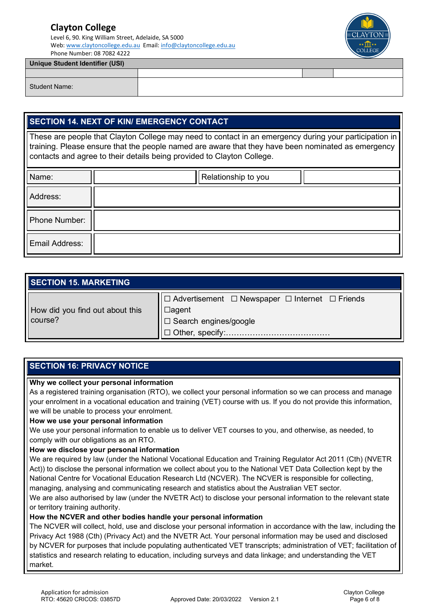#### **Clayton College** Level 6, 90. King William Street, Adelaide, SA 5000

Web[: www.claytoncollege.edu.au](http://www.claytoncollege.edu.au/) Email: [info@claytoncollege.edu.au](mailto:info@claytoncollege.edu.au)  Phone Number: 08 7082 4222





**Unique Student Identifier (USI)** 

Student Name:

### **SECTION 14. NEXT OF KIN/ EMERGENCY CONTACT**

These are people that Clayton College may need to contact in an emergency during your participation in training. Please ensure that the people named are aware that they have been nominated as emergency contacts and agree to their details being provided to Clayton College.

| Name:          | Relationship to you |
|----------------|---------------------|
| Address:       |                     |
| Phone Number:  |                     |
| Email Address: |                     |

| <b>SECTION 15. MARKETING</b>               |                                                                                                                        |  |  |  |
|--------------------------------------------|------------------------------------------------------------------------------------------------------------------------|--|--|--|
| How did you find out about this<br>course? | I □ Advertisement □ Newspaper □ Internet □ Friends<br>$\Box$ agent<br>│ □ Search engines/google<br>│ □ Other, specify: |  |  |  |

### **SECTION 16: PRIVACY NOTICE**

#### **Why we collect your personal information**

As a registered training organisation (RTO), we collect your personal information so we can process and manage your enrolment in a vocational education and training (VET) course with us. If you do not provide this information, we will be unable to process your enrolment.

#### **How we use your personal information**

We use your personal information to enable us to deliver VET courses to you, and otherwise, as needed, to comply with our obligations as an RTO.

#### **How we disclose your personal information**

We are required by law (under the National Vocational Education and Training Regulator Act 2011 (Cth) (NVETR Act)) to disclose the personal information we collect about you to the National VET Data Collection kept by the National Centre for Vocational Education Research Ltd (NCVER). The NCVER is responsible for collecting, managing, analysing and communicating research and statistics about the Australian VET sector.

We are also authorised by law (under the NVETR Act) to disclose your personal information to the relevant state or territory training authority.

#### **How the NCVER and other bodies handle your personal information**

The NCVER will collect, hold, use and disclose your personal information in accordance with the law, including the Privacy Act 1988 (Cth) (Privacy Act) and the NVETR Act. Your personal information may be used and disclosed by NCVER for purposes that include populating authenticated VET transcripts; administration of VET; facilitation of statistics and research relating to education, including surveys and data linkage; and understanding the VET market.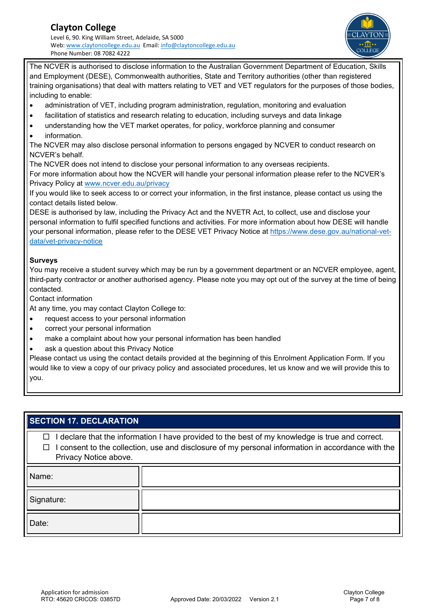

The NCVER is authorised to disclose information to the Australian Government Department of Education, Skills and Employment (DESE), Commonwealth authorities, State and Territory authorities (other than registered training organisations) that deal with matters relating to VET and VET regulators for the purposes of those bodies, including to enable:

- administration of VET, including program administration, regulation, monitoring and evaluation
- facilitation of statistics and research relating to education, including surveys and data linkage
- understanding how the VET market operates, for policy, workforce planning and consumer
- information.

The NCVER may also disclose personal information to persons engaged by NCVER to conduct research on NCVER's behalf.

The NCVER does not intend to disclose your personal information to any overseas recipients.

For more information about how the NCVER will handle your personal information please refer to the NCVER's Privacy Policy at [www.ncver.edu.au/privacy](http://www.ncver.edu.au/privacy) 

If you would like to seek access to or correct your information, in the first instance, please contact us using the contact details listed below.

DESE is authorised by law, including the Privacy Act and the NVETR Act, to collect, use and disclose your personal information to fulfil specified functions and activities. For more information about how DESE will handle your personal information, please refer to the DESE VET Privacy Notice at [https://www.dese.gov.au/national-vet](https://www.dese.gov.au/national-vet-data/vet-privacy-notice)[data/vet-privacy-notice](https://www.dese.gov.au/national-vet-data/vet-privacy-notice) 

#### **Surveys**

You may receive a student survey which may be run by a government department or an NCVER employee, agent, third-party contractor or another authorised agency. Please note you may opt out of the survey at the time of being contacted.

Contact information

At any time, you may contact Clayton College to:

- request access to your personal information
- correct your personal information
- make a complaint about how your personal information has been handled
- ask a question about this Privacy Notice

Please contact us using the contact details provided at the beginning of this Enrolment Application Form. If you would like to view a copy of our privacy policy and associated procedures, let us know and we will provide this to you.

#### **SECTION 17. DECLARATION**

 $\Box$  I declare that the information I have provided to the best of my knowledge is true and correct.  $\Box$  I consent to the collection, use and disclosure of my personal information in accordance with the Privacy Notice above.

| Name:      |  |
|------------|--|
| Signature: |  |
| Date:      |  |